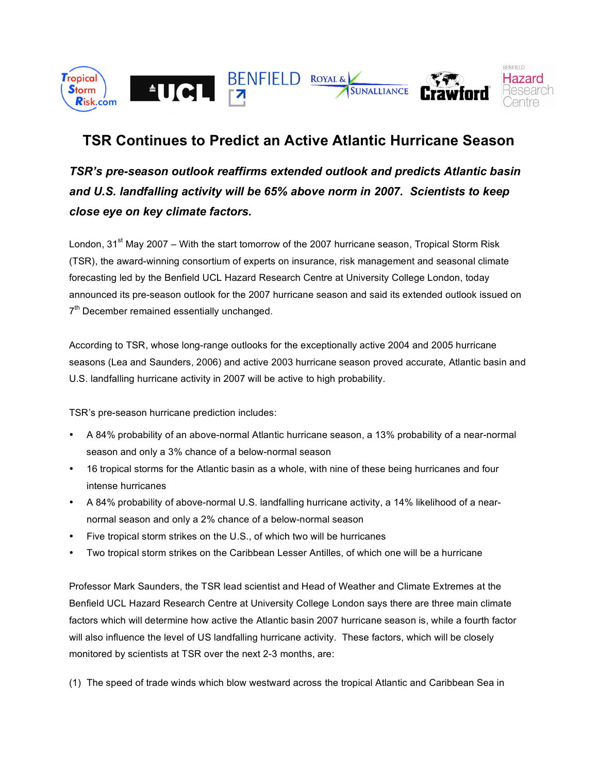

# **TSR Continues to Predict an Active Atlantic Hurricane Season**

*TSR's pre-season outlook reaffirms extended outlook and predicts Atlantic basin and U.S. landfalling activity will be 65% above norm in 2007. Scientists to keep close eye on key climate factors.*

London, 31<sup>st</sup> May 2007 – With the start tomorrow of the 2007 hurricane season, Tropical Storm Risk (TSR), the award-winning consortium of experts on insurance, risk management and seasonal climate forecasting led by the Benfield UCL Hazard Research Centre at University College London, today announced its pre-season outlook for the 2007 hurricane season and said its extended outlook issued on 7<sup>th</sup> December remained essentially unchanged.

According to TSR, whose long-range outlooks for the exceptionally active 2004 and 2005 hurricane seasons (Lea and Saunders, 2006) and active 2003 hurricane season proved accurate, Atlantic basin and U.S. landfalling hurricane activity in 2007 will be active to high probability.

TSR's pre-season hurricane prediction includes:

- A 84% probability of an above-normal Atlantic hurricane season, a 13% probability of a near-normal season and only a 3% chance of a below-normal season
- 16 tropical storms for the Atlantic basin as a whole, with nine of these being hurricanes and four intense hurricanes
- A 84% probability of above-normal U.S. landfalling hurricane activity, a 14% likelihood of a nearnormal season and only a 2% chance of a below-normal season
- Five tropical storm strikes on the U.S., of which two will be hurricanes
- Two tropical storm strikes on the Caribbean Lesser Antilles, of which one will be a hurricane

Professor Mark Saunders, the TSR lead scientist and Head of Weather and Climate Extremes at the Benfield UCL Hazard Research Centre at University College London says there are three main climate factors which will determine how active the Atlantic basin 2007 hurricane season is, while a fourth factor will also influence the level of US landfalling hurricane activity. These factors, which will be closely monitored by scientists at TSR over the next 2-3 months, are:

(1) The speed of trade winds which blow westward across the tropical Atlantic and Caribbean Sea in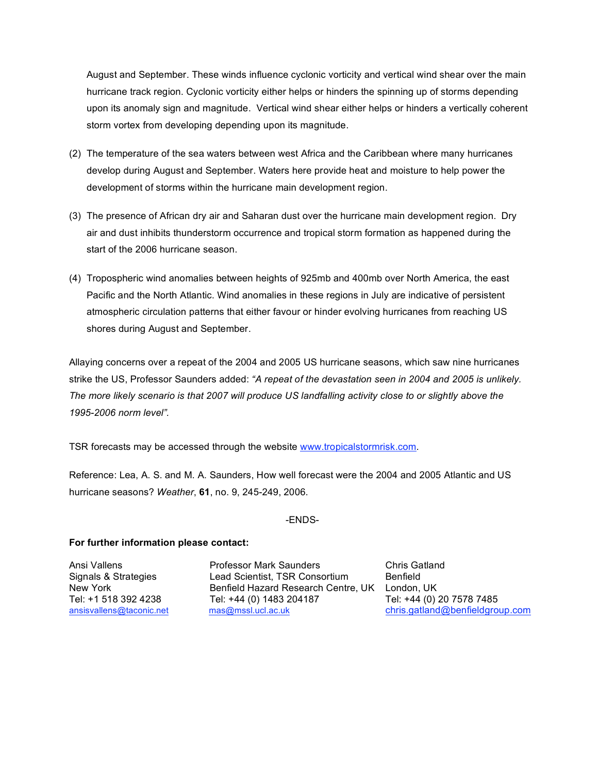August and September. These winds influence cyclonic vorticity and vertical wind shear over the main hurricane track region. Cyclonic vorticity either helps or hinders the spinning up of storms depending upon its anomaly sign and magnitude. Vertical wind shear either helps or hinders a vertically coherent storm vortex from developing depending upon its magnitude.

- (2) The temperature of the sea waters between west Africa and the Caribbean where many hurricanes develop during August and September. Waters here provide heat and moisture to help power the development of storms within the hurricane main development region.
- (3) The presence of African dry air and Saharan dust over the hurricane main development region. Dry air and dust inhibits thunderstorm occurrence and tropical storm formation as happened during the start of the 2006 hurricane season.
- (4) Tropospheric wind anomalies between heights of 925mb and 400mb over North America, the east Pacific and the North Atlantic. Wind anomalies in these regions in July are indicative of persistent atmospheric circulation patterns that either favour or hinder evolving hurricanes from reaching US shores during August and September.

Allaying concerns over a repeat of the 2004 and 2005 US hurricane seasons, which saw nine hurricanes strike the US, Professor Saunders added: *"A repeat of the devastation seen in 2004 and 2005 is unlikely.* The more likely scenario is that 2007 will produce US landfalling activity close to or slightly above the *1995-2006 norm level".*

TSR forecasts may be accessed through the website www.tropicalstormrisk.com.

Reference: Lea, A. S. and M. A. Saunders, How well forecast were the 2004 and 2005 Atlantic and US hurricane seasons? *Weather*, **61**, no. 9, 245-249, 2006.

#### -ENDS-

## **For further information please contact:**

Ansi Vallens Professor Mark Saunders Chris Gatland Signals & Strategies Lead Scientist, TSR Consortium Benfield New York **Benfield Hazard Research Centre, UK** London, UK Tel: +1 518 392 4238 Tel: +44 (0) 1483 204187 Tel: +44 (0) 20 7578 7485 ansisvallens@taconic.net mas@mssl.ucl.ac.uk chris.gatland@benfieldgroup.com